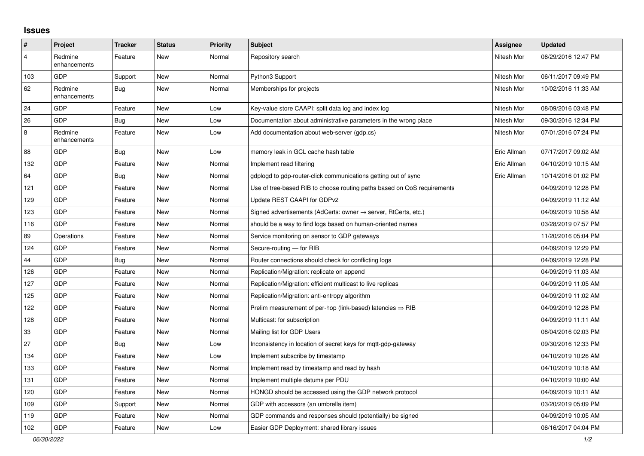## **Issues**

| $\pmb{\#}$     | Project                 | <b>Tracker</b> | <b>Status</b> | <b>Priority</b> | <b>Subject</b>                                                          | <b>Assignee</b> | <b>Updated</b>      |
|----------------|-------------------------|----------------|---------------|-----------------|-------------------------------------------------------------------------|-----------------|---------------------|
| $\overline{4}$ | Redmine<br>enhancements | Feature        | <b>New</b>    | Normal          | Repository search                                                       | Nitesh Mor      | 06/29/2016 12:47 PM |
| 103            | <b>GDP</b>              | Support        | New           | Normal          | Python3 Support                                                         | Nitesh Mor      | 06/11/2017 09:49 PM |
| 62             | Redmine<br>enhancements | <b>Bug</b>     | <b>New</b>    | Normal          | Memberships for projects                                                | Nitesh Mor      | 10/02/2016 11:33 AM |
| 24             | <b>GDP</b>              | Feature        | <b>New</b>    | Low             | Key-value store CAAPI: split data log and index log                     | Nitesh Mor      | 08/09/2016 03:48 PM |
| 26             | GDP                     | <b>Bug</b>     | <b>New</b>    | Low             | Documentation about administrative parameters in the wrong place        | Nitesh Mor      | 09/30/2016 12:34 PM |
| 8              | Redmine<br>enhancements | Feature        | <b>New</b>    | Low             | Add documentation about web-server (gdp.cs)                             | Nitesh Mor      | 07/01/2016 07:24 PM |
| 88             | <b>GDP</b>              | <b>Bug</b>     | <b>New</b>    | Low             | memory leak in GCL cache hash table                                     | Eric Allman     | 07/17/2017 09:02 AM |
| 132            | GDP                     | Feature        | <b>New</b>    | Normal          | Implement read filtering                                                | Eric Allman     | 04/10/2019 10:15 AM |
| 64             | GDP                     | Bug            | <b>New</b>    | Normal          | gdplogd to gdp-router-click communications getting out of sync          | Eric Allman     | 10/14/2016 01:02 PM |
| 121            | GDP                     | Feature        | <b>New</b>    | Normal          | Use of tree-based RIB to choose routing paths based on QoS requirements |                 | 04/09/2019 12:28 PM |
| 129            | GDP                     | Feature        | New           | Normal          | Update REST CAAPI for GDPv2                                             |                 | 04/09/2019 11:12 AM |
| 123            | <b>GDP</b>              | Feature        | <b>New</b>    | Normal          | Signed advertisements (AdCerts: owner → server, RtCerts, etc.)          |                 | 04/09/2019 10:58 AM |
| 116            | GDP                     | Feature        | <b>New</b>    | Normal          | should be a way to find logs based on human-oriented names              |                 | 03/28/2019 07:57 PM |
| 89             | Operations              | Feature        | <b>New</b>    | Normal          | Service monitoring on sensor to GDP gateways                            |                 | 11/20/2016 05:04 PM |
| 124            | <b>GDP</b>              | Feature        | <b>New</b>    | Normal          | Secure-routing - for RIB                                                |                 | 04/09/2019 12:29 PM |
| 44             | <b>GDP</b>              | <b>Bug</b>     | <b>New</b>    | Normal          | Router connections should check for conflicting logs                    |                 | 04/09/2019 12:28 PM |
| 126            | GDP                     | Feature        | <b>New</b>    | Normal          | Replication/Migration: replicate on append                              |                 | 04/09/2019 11:03 AM |
| 127            | GDP                     | Feature        | <b>New</b>    | Normal          | Replication/Migration: efficient multicast to live replicas             |                 | 04/09/2019 11:05 AM |
| 125            | GDP                     | Feature        | <b>New</b>    | Normal          | Replication/Migration: anti-entropy algorithm                           |                 | 04/09/2019 11:02 AM |
| 122            | GDP                     | Feature        | <b>New</b>    | Normal          | Prelim measurement of per-hop (link-based) latencies $\Rightarrow$ RIB  |                 | 04/09/2019 12:28 PM |
| 128            | GDP                     | Feature        | New           | Normal          | Multicast: for subscription                                             |                 | 04/09/2019 11:11 AM |
| 33             | GDP                     | Feature        | <b>New</b>    | Normal          | Mailing list for GDP Users                                              |                 | 08/04/2016 02:03 PM |
| 27             | <b>GDP</b>              | <b>Bug</b>     | <b>New</b>    | Low             | Inconsistency in location of secret keys for mqtt-gdp-gateway           |                 | 09/30/2016 12:33 PM |
| 134            | <b>GDP</b>              | Feature        | <b>New</b>    | Low             | Implement subscribe by timestamp                                        |                 | 04/10/2019 10:26 AM |
| 133            | <b>GDP</b>              | Feature        | <b>New</b>    | Normal          | Implement read by timestamp and read by hash                            |                 | 04/10/2019 10:18 AM |
| 131            | GDP                     | Feature        | <b>New</b>    | Normal          | Implement multiple datums per PDU                                       |                 | 04/10/2019 10:00 AM |
| 120            | <b>GDP</b>              | Feature        | <b>New</b>    | Normal          | HONGD should be accessed using the GDP network protocol                 |                 | 04/09/2019 10:11 AM |
| 109            | GDP                     | Support        | New           | Normal          | GDP with accessors (an umbrella item)                                   |                 | 03/20/2019 05:09 PM |
| 119            | GDP                     | Feature        | <b>New</b>    | Normal          | GDP commands and responses should (potentially) be signed               |                 | 04/09/2019 10:05 AM |
| 102            | GDP                     | Feature        | <b>New</b>    | Low             | Easier GDP Deployment: shared library issues                            |                 | 06/16/2017 04:04 PM |